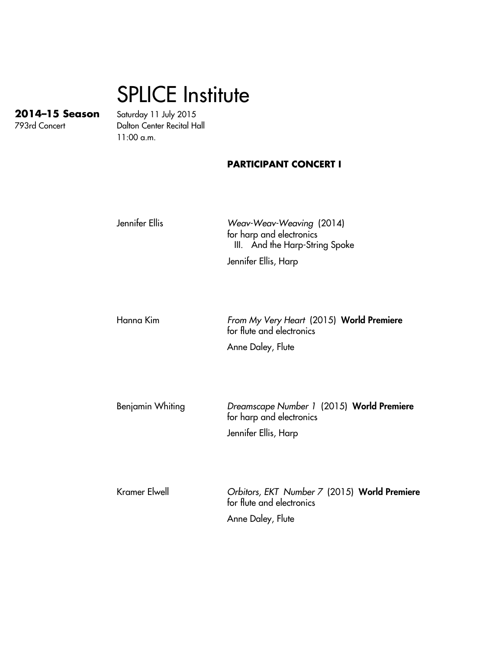## SPLICE Institute

**2014–15 Season** Saturday 11 July 2015 Dalton Center Recital Hall 11:00 a.m.

## **PARTICIPANT CONCERT I**

Jennifer Ellis Weav-Weav-Weaving (2014) for harp and electronics III. And the Harp-String Spoke Jennifer Ellis, Harp Hanna Kim From My Very Heart (2015) World Premiere for flute and electronics Anne Daley, Flute

Benjamin Whiting Dreamscape Number 1 (2015) World Premiere for harp and electronics Jennifer Ellis, Harp

Kramer Elwell **Christian Conducts** Crbitors, EKT Number 7 (2015) World Premiere for flute and electronics Anne Daley, Flute